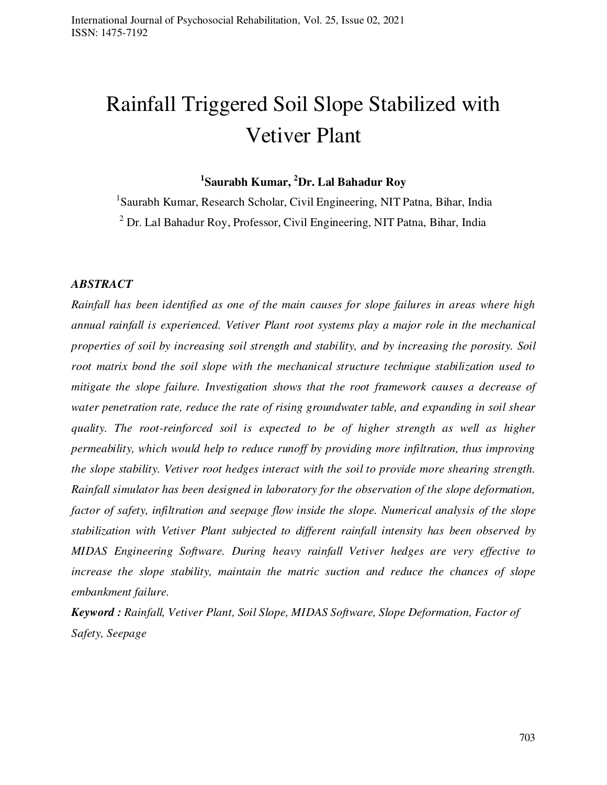# Rainfall Triggered Soil Slope Stabilized with Vetiver Plant

**1 Saurabh Kumar, <sup>2</sup>Dr. Lal Bahadur Roy** 

<sup>1</sup>Saurabh Kumar, Research Scholar, Civil Engineering, NIT Patna, Bihar, India <sup>2</sup> Dr. Lal Bahadur Roy, Professor, Civil Engineering, NIT Patna, Bihar, India

#### *ABSTRACT*

*Rainfall has been identified as one of the main causes for slope failures in areas where high annual rainfall is experienced. Vetiver Plant root systems play a major role in the mechanical properties of soil by increasing soil strength and stability, and by increasing the porosity. Soil root matrix bond the soil slope with the mechanical structure technique stabilization used to mitigate the slope failure. Investigation shows that the root framework causes a decrease of water penetration rate, reduce the rate of rising groundwater table, and expanding in soil shear quality. The root-reinforced soil is expected to be of higher strength as well as higher permeability, which would help to reduce runoff by providing more infiltration, thus improving the slope stability. Vetiver root hedges interact with the soil to provide more shearing strength. Rainfall simulator has been designed in laboratory for the observation of the slope deformation, factor of safety, infiltration and seepage flow inside the slope. Numerical analysis of the slope stabilization with Vetiver Plant subjected to different rainfall intensity has been observed by MIDAS Engineering Software. During heavy rainfall Vetiver hedges are very effective to increase the slope stability, maintain the matric suction and reduce the chances of slope embankment failure.* 

*Keyword : Rainfall, Vetiver Plant, Soil Slope, MIDAS Software, Slope Deformation, Factor of Safety, Seepage*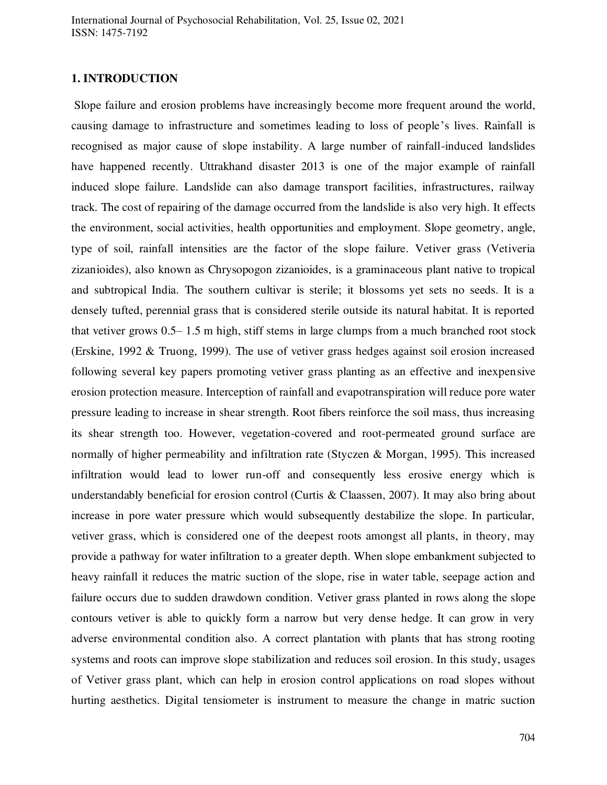#### **1. INTRODUCTION**

 Slope failure and erosion problems have increasingly become more frequent around the world, causing damage to infrastructure and sometimes leading to loss of people's lives. Rainfall is recognised as major cause of slope instability. A large number of rainfall-induced landslides have happened recently. Uttrakhand disaster 2013 is one of the major example of rainfall induced slope failure. Landslide can also damage transport facilities, infrastructures, railway track. The cost of repairing of the damage occurred from the landslide is also very high. It effects the environment, social activities, health opportunities and employment. Slope geometry, angle, type of soil, rainfall intensities are the factor of the slope failure. Vetiver grass (Vetiveria zizanioides), also known as Chrysopogon zizanioides, is a graminaceous plant native to tropical and subtropical India. The southern cultivar is sterile; it blossoms yet sets no seeds. It is a densely tufted, perennial grass that is considered sterile outside its natural habitat. It is reported that vetiver grows 0.5– 1.5 m high, stiff stems in large clumps from a much branched root stock (Erskine, 1992 & Truong, 1999). The use of vetiver grass hedges against soil erosion increased following several key papers promoting vetiver grass planting as an effective and inexpensive erosion protection measure. Interception of rainfall and evapotranspiration will reduce pore water pressure leading to increase in shear strength. Root fibers reinforce the soil mass, thus increasing its shear strength too. However, vegetation-covered and root-permeated ground surface are normally of higher permeability and infiltration rate (Styczen & Morgan, 1995). This increased infiltration would lead to lower run-off and consequently less erosive energy which is understandably beneficial for erosion control (Curtis & Claassen, 2007). It may also bring about increase in pore water pressure which would subsequently destabilize the slope. In particular, vetiver grass, which is considered one of the deepest roots amongst all plants, in theory, may provide a pathway for water infiltration to a greater depth. When slope embankment subjected to heavy rainfall it reduces the matric suction of the slope, rise in water table, seepage action and failure occurs due to sudden drawdown condition. Vetiver grass planted in rows along the slope contours vetiver is able to quickly form a narrow but very dense hedge. It can grow in very adverse environmental condition also. A correct plantation with plants that has strong rooting systems and roots can improve slope stabilization and reduces soil erosion. In this study, usages of Vetiver grass plant, which can help in erosion control applications on road slopes without hurting aesthetics. Digital tensiometer is instrument to measure the change in matric suction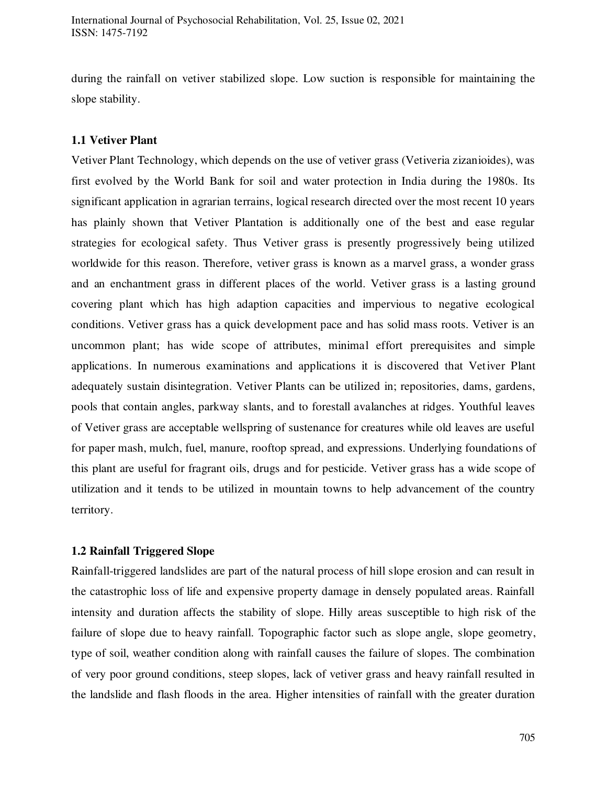during the rainfall on vetiver stabilized slope. Low suction is responsible for maintaining the slope stability.

## **1.1 Vetiver Plant**

Vetiver Plant Technology, which depends on the use of vetiver grass (Vetiveria zizanioides), was first evolved by the World Bank for soil and water protection in India during the 1980s. Its significant application in agrarian terrains, logical research directed over the most recent 10 years has plainly shown that Vetiver Plantation is additionally one of the best and ease regular strategies for ecological safety. Thus Vetiver grass is presently progressively being utilized worldwide for this reason. Therefore, vetiver grass is known as a marvel grass, a wonder grass and an enchantment grass in different places of the world. Vetiver grass is a lasting ground covering plant which has high adaption capacities and impervious to negative ecological conditions. Vetiver grass has a quick development pace and has solid mass roots. Vetiver is an uncommon plant; has wide scope of attributes, minimal effort prerequisites and simple applications. In numerous examinations and applications it is discovered that Vetiver Plant adequately sustain disintegration. Vetiver Plants can be utilized in; repositories, dams, gardens, pools that contain angles, parkway slants, and to forestall avalanches at ridges. Youthful leaves of Vetiver grass are acceptable wellspring of sustenance for creatures while old leaves are useful for paper mash, mulch, fuel, manure, rooftop spread, and expressions. Underlying foundations of this plant are useful for fragrant oils, drugs and for pesticide. Vetiver grass has a wide scope of utilization and it tends to be utilized in mountain towns to help advancement of the country territory.

#### **1.2 Rainfall Triggered Slope**

Rainfall-triggered landslides are part of the natural process of hill slope erosion and can result in the catastrophic loss of life and expensive property damage in densely populated areas. Rainfall intensity and duration affects the stability of slope. Hilly areas susceptible to high risk of the failure of slope due to heavy rainfall. Topographic factor such as slope angle, slope geometry, type of soil, weather condition along with rainfall causes the failure of slopes. The combination of very poor ground conditions, steep slopes, lack of vetiver grass and heavy rainfall resulted in the landslide and flash floods in the area. Higher intensities of rainfall with the greater duration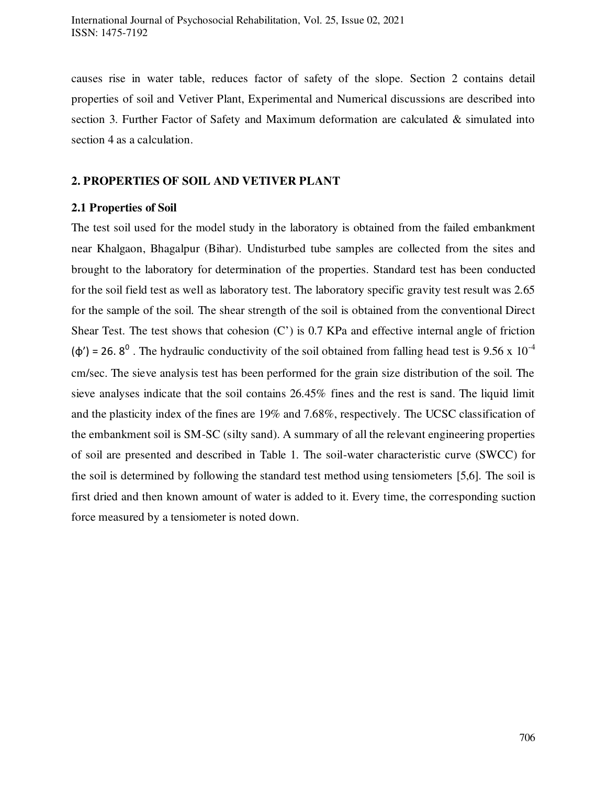causes rise in water table, reduces factor of safety of the slope. Section 2 contains detail properties of soil and Vetiver Plant, Experimental and Numerical discussions are described into section 3. Further Factor of Safety and Maximum deformation are calculated & simulated into section 4 as a calculation.

#### **2. PROPERTIES OF SOIL AND VETIVER PLANT**

## **2.1 Properties of Soil**

The test soil used for the model study in the laboratory is obtained from the failed embankment near Khalgaon, Bhagalpur (Bihar). Undisturbed tube samples are collected from the sites and brought to the laboratory for determination of the properties. Standard test has been conducted for the soil field test as well as laboratory test. The laboratory specific gravity test result was 2.65 for the sample of the soil. The shear strength of the soil is obtained from the conventional Direct Shear Test. The test shows that cohesion (C') is 0.7 KPa and effective internal angle of friction  $(\phi')$  = 26.8<sup>0</sup>. The hydraulic conductivity of the soil obtained from falling head test is 9.56 x 10<sup>-4</sup> cm/sec. The sieve analysis test has been performed for the grain size distribution of the soil. The sieve analyses indicate that the soil contains 26.45% fines and the rest is sand. The liquid limit and the plasticity index of the fines are 19% and 7.68%, respectively. The UCSC classification of the embankment soil is SM-SC (silty sand). A summary of all the relevant engineering properties of soil are presented and described in Table 1. The soil-water characteristic curve (SWCC) for the soil is determined by following the standard test method using tensiometers [5,6]. The soil is first dried and then known amount of water is added to it. Every time, the corresponding suction force measured by a tensiometer is noted down.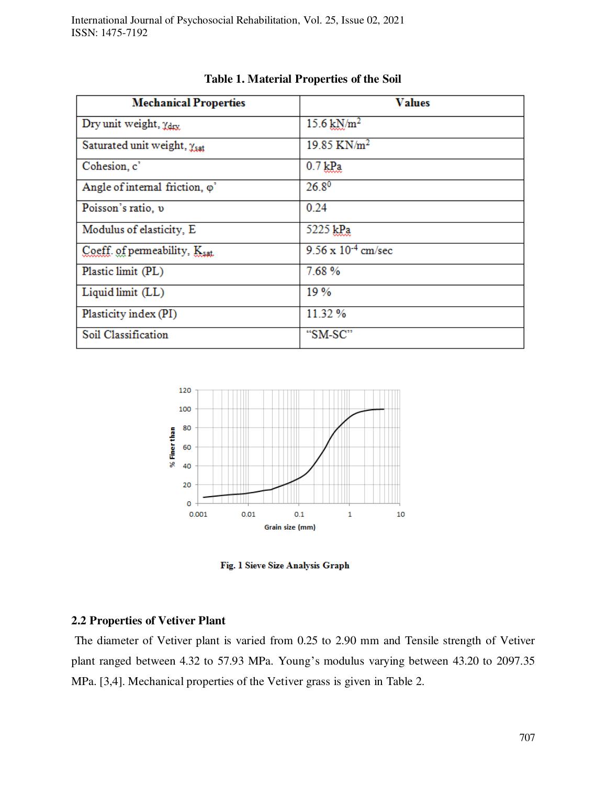| <b>Mechanical Properties</b>              | <b>Values</b>                |
|-------------------------------------------|------------------------------|
| Dry unit weight, Ydrx                     | $15.6 \,\mathrm{kN/m^2}$     |
| Saturated unit weight, Ysat               | 19.85 KN/m <sup>2</sup>      |
| Cohesion, c'                              | $0.7$ $k$ <sup>n</sup>       |
| Angle of internal friction, $\varphi$ '   | $26.8^{0}$                   |
| Poisson's ratio, v                        | 0.24                         |
| Modulus of elasticity, E                  | 5225 kPa                     |
| Coeff. of permeability, K <sub>sat.</sub> | $9.56 \times 10^{-4}$ cm/sec |
| Plastic limit (PL)                        | 7.68%                        |
| Liquid limit (LL)                         | 19%                          |
| Plasticity index (PI)                     | 11.32 %                      |
| Soil Classification                       | "SM-SC"                      |



Fig. 1 Sieve Size Analysis Graph

## **2.2 Properties of Vetiver Plant**

 The diameter of Vetiver plant is varied from 0.25 to 2.90 mm and Tensile strength of Vetiver plant ranged between 4.32 to 57.93 MPa. Young's modulus varying between 43.20 to 2097.35 MPa. [3,4]. Mechanical properties of the Vetiver grass is given in Table 2.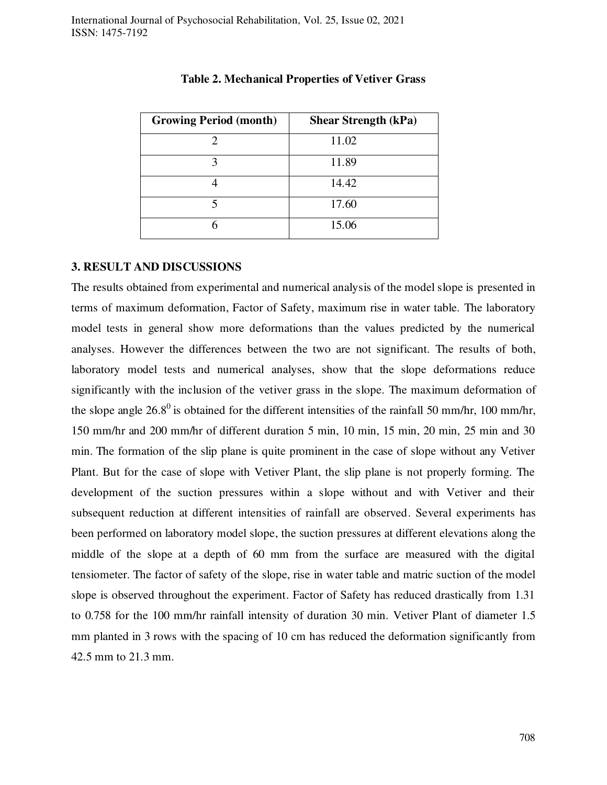| <b>Growing Period (month)</b> | <b>Shear Strength (kPa)</b> |  |  |  |
|-------------------------------|-----------------------------|--|--|--|
|                               | 11.02                       |  |  |  |
|                               | 11.89                       |  |  |  |
|                               | 14.42                       |  |  |  |
|                               | 17.60                       |  |  |  |
| h                             | 15.06                       |  |  |  |

#### **Table 2. Mechanical Properties of Vetiver Grass**

#### **3. RESULT AND DISCUSSIONS**

The results obtained from experimental and numerical analysis of the model slope is presented in terms of maximum deformation, Factor of Safety, maximum rise in water table. The laboratory model tests in general show more deformations than the values predicted by the numerical analyses. However the differences between the two are not significant. The results of both, laboratory model tests and numerical analyses, show that the slope deformations reduce significantly with the inclusion of the vetiver grass in the slope. The maximum deformation of the slope angle  $26.8^{\circ}$  is obtained for the different intensities of the rainfall 50 mm/hr, 100 mm/hr, 150 mm/hr and 200 mm/hr of different duration 5 min, 10 min, 15 min, 20 min, 25 min and 30 min. The formation of the slip plane is quite prominent in the case of slope without any Vetiver Plant. But for the case of slope with Vetiver Plant, the slip plane is not properly forming. The development of the suction pressures within a slope without and with Vetiver and their subsequent reduction at different intensities of rainfall are observed. Several experiments has been performed on laboratory model slope, the suction pressures at different elevations along the middle of the slope at a depth of 60 mm from the surface are measured with the digital tensiometer. The factor of safety of the slope, rise in water table and matric suction of the model slope is observed throughout the experiment. Factor of Safety has reduced drastically from 1.31 to 0.758 for the 100 mm/hr rainfall intensity of duration 30 min. Vetiver Plant of diameter 1.5 mm planted in 3 rows with the spacing of 10 cm has reduced the deformation significantly from 42.5 mm to 21.3 mm.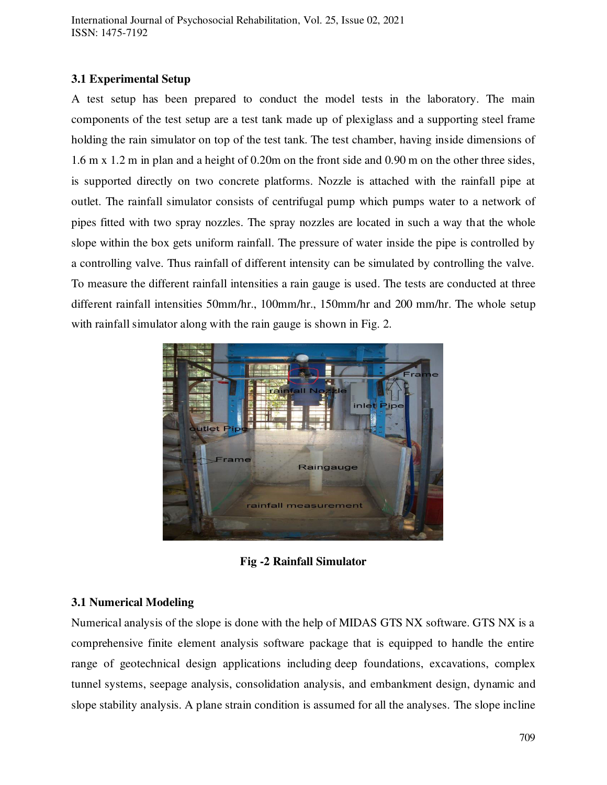International Journal of Psychosocial Rehabilitation, Vol. 25, Issue 02, 2021 ISSN: 1475-7192

#### **3.1 Experimental Setup**

A test setup has been prepared to conduct the model tests in the laboratory. The main components of the test setup are a test tank made up of plexiglass and a supporting steel frame holding the rain simulator on top of the test tank. The test chamber, having inside dimensions of 1.6 m x 1.2 m in plan and a height of 0.20m on the front side and 0.90 m on the other three sides, is supported directly on two concrete platforms. Nozzle is attached with the rainfall pipe at outlet. The rainfall simulator consists of centrifugal pump which pumps water to a network of pipes fitted with two spray nozzles. The spray nozzles are located in such a way that the whole slope within the box gets uniform rainfall. The pressure of water inside the pipe is controlled by a controlling valve. Thus rainfall of different intensity can be simulated by controlling the valve. To measure the different rainfall intensities a rain gauge is used. The tests are conducted at three different rainfall intensities 50mm/hr., 100mm/hr., 150mm/hr and 200 mm/hr. The whole setup with rainfall simulator along with the rain gauge is shown in Fig. 2.



**Fig -2 Rainfall Simulator**

## **3.1 Numerical Modeling**

Numerical analysis of the slope is done with the help of MIDAS GTS NX software. GTS NX is a comprehensive finite element analysis software package that is equipped to handle the entire range of geotechnical design applications including deep foundations, excavations, complex tunnel systems, seepage analysis, consolidation analysis, and embankment design, dynamic and slope stability analysis. A plane strain condition is assumed for all the analyses. The slope incline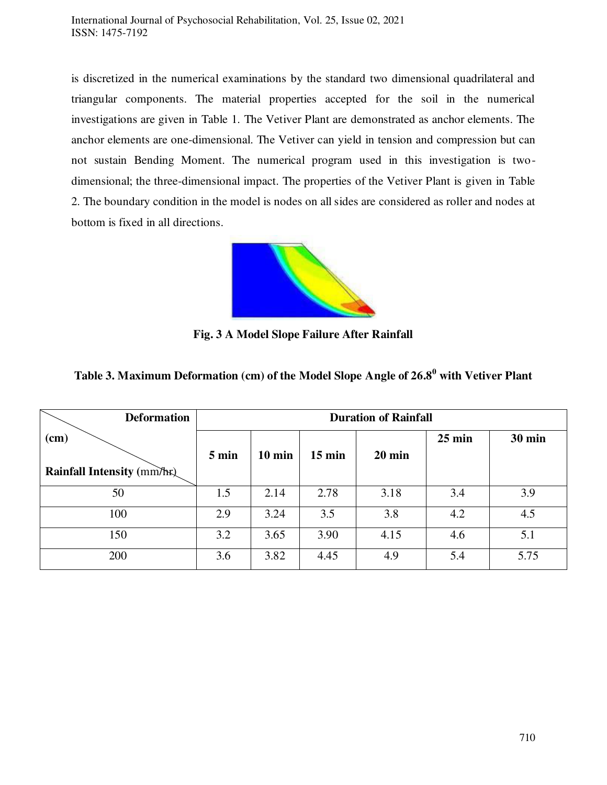is discretized in the numerical examinations by the standard two dimensional quadrilateral and triangular components. The material properties accepted for the soil in the numerical investigations are given in Table 1. The Vetiver Plant are demonstrated as anchor elements. The anchor elements are one-dimensional. The Vetiver can yield in tension and compression but can not sustain Bending Moment. The numerical program used in this investigation is twodimensional; the three-dimensional impact. The properties of the Vetiver Plant is given in Table 2. The boundary condition in the model is nodes on all sides are considered as roller and nodes at bottom is fixed in all directions.



**Fig. 3 A Model Slope Failure After Rainfall** 

| <b>Deformation</b>         | <b>Duration of Rainfall</b> |                  |                  |                  |                  |               |
|----------------------------|-----------------------------|------------------|------------------|------------------|------------------|---------------|
| $(cm)$                     |                             |                  |                  |                  | $25 \text{ min}$ | <b>30 min</b> |
|                            | $5 \text{ min}$             | $10 \text{ min}$ | $15 \text{ min}$ | $20 \text{ min}$ |                  |               |
| Rainfall Intensity (mm/hr) |                             |                  |                  |                  |                  |               |
| 50                         | 1.5                         | 2.14             | 2.78             | 3.18             | 3.4              | 3.9           |
| 100                        | 2.9                         | 3.24             | 3.5              | 3.8              | 4.2              | 4.5           |
| 150                        | 3.2                         | 3.65             | 3.90             | 4.15             | 4.6              | 5.1           |
| 200                        | 3.6                         | 3.82             | 4.45             | 4.9              | 5.4              | 5.75          |

**Table 3. Maximum Deformation (cm) of the Model Slope Angle of 26.8<sup>0</sup> with Vetiver Plant**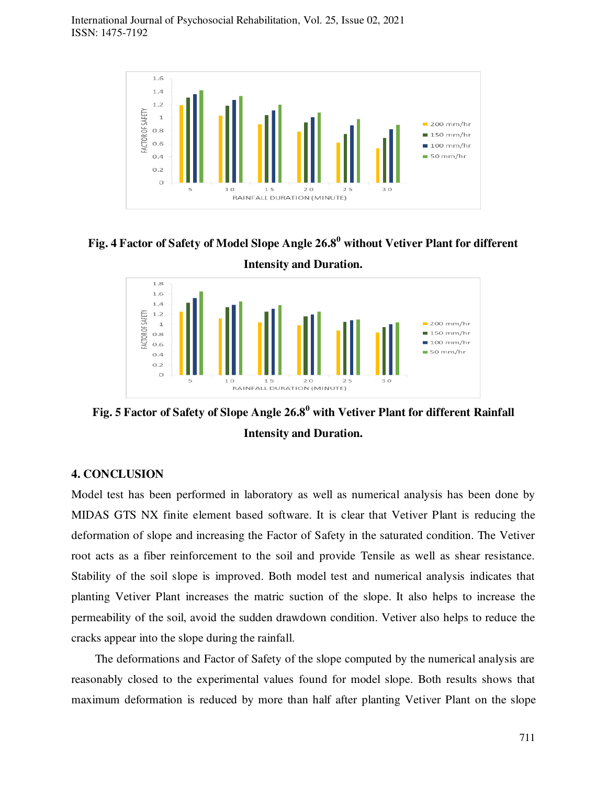

**Fig. 4 Factor of Safety of Model Slope Angle 26.8<sup>0</sup> without Vetiver Plant for different** 



**Fig. 5 Factor of Safety of Slope Angle 26.8<sup>0</sup> with Vetiver Plant for different Rainfall Intensity and Duration.** 

## **4. CONCLUSION**

Model test has been performed in laboratory as well as numerical analysis has been done by MIDAS GTS NX finite element based software. It is clear that Vetiver Plant is reducing the deformation of slope and increasing the Factor of Safety in the saturated condition. The Vetiver root acts as a fiber reinforcement to the soil and provide Tensile as well as shear resistance. Stability of the soil slope is improved. Both model test and numerical analysis indicates that planting Vetiver Plant increases the matric suction of the slope. It also helps to increase the permeability of the soil, avoid the sudden drawdown condition. Vetiver also helps to reduce the cracks appear into the slope during the rainfall.

 The deformations and Factor of Safety of the slope computed by the numerical analysis are reasonably closed to the experimental values found for model slope. Both results shows that maximum deformation is reduced by more than half after planting Vetiver Plant on the slope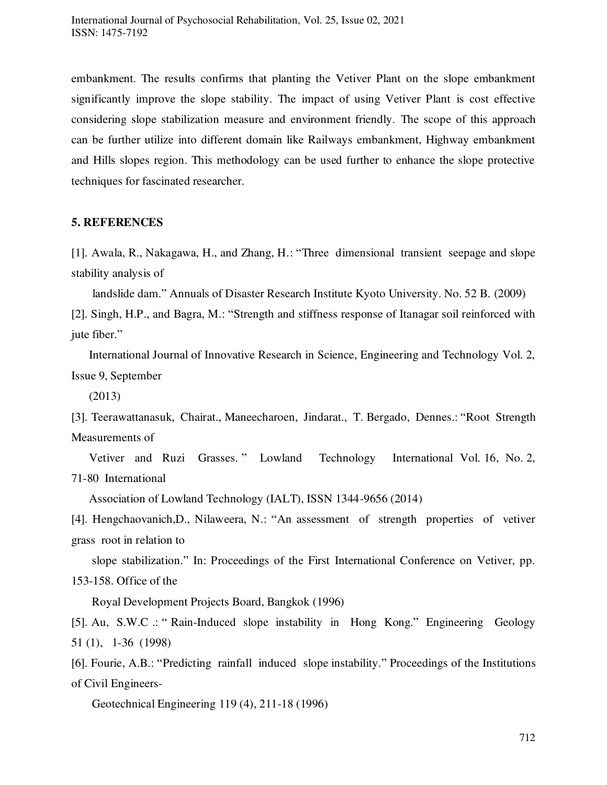embankment. The results confirms that planting the Vetiver Plant on the slope embankment significantly improve the slope stability. The impact of using Vetiver Plant is cost effective considering slope stabilization measure and environment friendly. The scope of this approach can be further utilize into different domain like Railways embankment, Highway embankment and Hills slopes region. This methodology can be used further to enhance the slope protective techniques for fascinated researcher.

#### **5. REFERENCES**

[1]. Awala, R., Nakagawa, H., and Zhang, H.: "Three dimensional transient seepage and slope stability analysis of

landslide dam." Annuals of Disaster Research Institute Kyoto University. No. 52 B. (2009)

[2]. Singh, H.P., and Bagra, M.: "Strength and stiffness response of Itanagar soil reinforced with jute fiber."

 International Journal of Innovative Research in Science, Engineering and Technology Vol. 2, Issue 9, September

(2013)

[3]. Teerawattanasuk, Chairat., Maneecharoen, Jindarat., T. Bergado, Dennes.: "Root Strength Measurements of

 Vetiver and Ruzi Grasses. " Lowland Technology International Vol. 16, No. 2, 71-80 International

Association of Lowland Technology (IALT), ISSN 1344-9656 (2014)

[4]. Hengchaovanich,D., Nilaweera, N.: "An assessment of strength properties of vetiver grass root in relation to

 slope stabilization." In: Proceedings of the First International Conference on Vetiver, pp. 153-158. Office of the

Royal Development Projects Board, Bangkok (1996)

[5]. Au, S.W.C .: " Rain-Induced slope instability in Hong Kong." Engineering Geology 51 (1), 1-36 (1998)

[6]. Fourie, A.B.: "Predicting rainfall induced slope instability." Proceedings of the Institutions of Civil Engineers-

Geotechnical Engineering 119 (4), 211-18 (1996)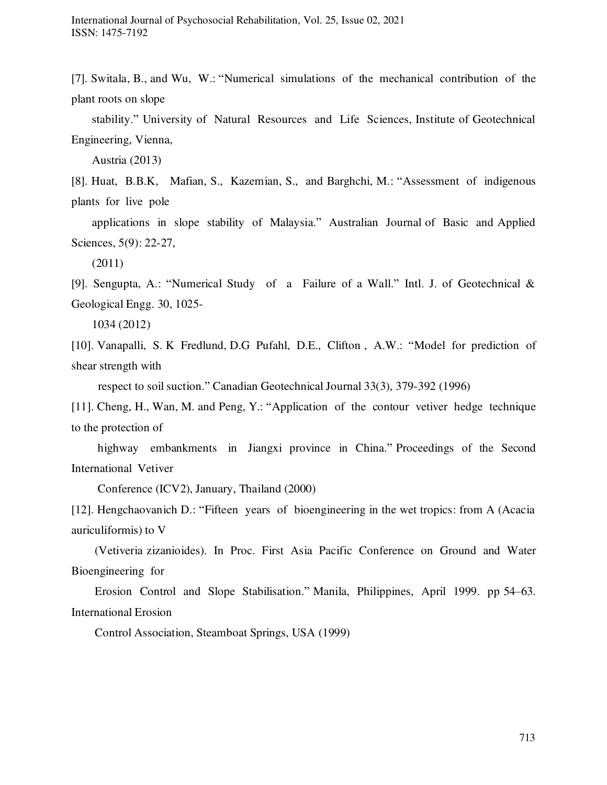[7]. Switala, B., and Wu, W.: "Numerical simulations of the mechanical contribution of the plant roots on slope

 stability." University of Natural Resources and Life Sciences, Institute of Geotechnical Engineering, Vienna,

Austria (2013)

[8]. Huat, B.B.K, Mafian, S., Kazemian, S., and Barghchi, M.: "Assessment of indigenous plants for live pole

 applications in slope stability of Malaysia." Australian Journal of Basic and Applied Sciences, 5(9): 22-27,

(2011)

[9]. Sengupta, A.: "Numerical Study of a Failure of a Wall." Intl. J. of Geotechnical & Geological Engg. 30, 1025-

1034 (2012)

[10]. Vanapalli, S. K Fredlund, D.G Pufahl, D.E., Clifton , A.W.: "Model for prediction of shear strength with

respect to soil suction." Canadian Geotechnical Journal 33(3), 379-392 (1996)

[11]. Cheng, H., Wan, M. and Peng, Y.: "Application of the contour vetiver hedge technique to the protection of

 highway embankments in Jiangxi province in China." Proceedings of the Second International Vetiver

Conference (ICV2), January, Thailand (2000)

[12]. Hengchaovanich D.: "Fifteen years of bioengineering in the wet tropics: from A (Acacia auriculiformis) to V

 (Vetiveria zizanioides). In Proc. First Asia Pacific Conference on Ground and Water Bioengineering for

 Erosion Control and Slope Stabilisation." Manila, Philippines, April 1999. pp 54–63. International Erosion

Control Association, Steamboat Springs, USA (1999)